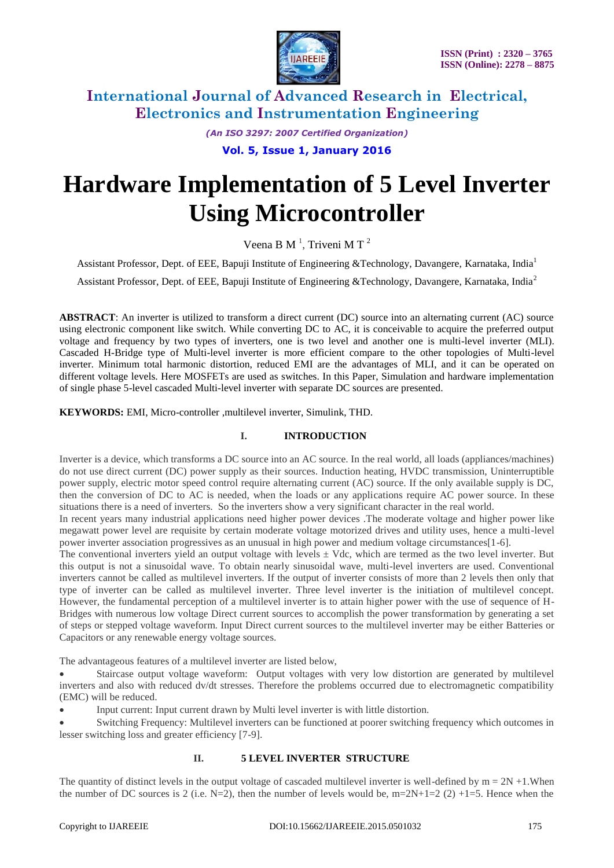

*(An ISO 3297: 2007 Certified Organization)*

**Vol. 5, Issue 1, January 2016**

# **Hardware Implementation of 5 Level Inverter Using Microcontroller**

Veena B M<sup>1</sup>, Triveni M T<sup>2</sup>

Assistant Professor, Dept. of EEE, Bapuji Institute of Engineering &Technology, Davangere, Karnataka, India<sup>1</sup>

Assistant Professor, Dept. of EEE, Bapuji Institute of Engineering &Technology, Davangere, Karnataka, India<sup>2</sup>

**ABSTRACT**: An inverter is utilized to transform a direct current (DC) source into an alternating current (AC) source using electronic component like switch. While converting DC to AC, it is conceivable to acquire the preferred output voltage and frequency by two types of inverters, one is two level and another one is multi-level inverter (MLI). Cascaded H-Bridge type of Multi-level inverter is more efficient compare to the other topologies of Multi-level inverter. Minimum total harmonic distortion, reduced EMI are the advantages of MLI, and it can be operated on different voltage levels. Here MOSFETs are used as switches. In this Paper, Simulation and hardware implementation of single phase 5-level cascaded Multi-level inverter with separate DC sources are presented.

**KEYWORDS:** EMI, Micro-controller ,multilevel inverter, Simulink, THD.

### **I. INTRODUCTION**

Inverter is a device, which transforms a DC source into an AC source. In the real world, all loads (appliances/machines) do not use direct current (DC) power supply as their sources. Induction heating, HVDC transmission, Uninterruptible power supply, electric motor speed control require alternating current (AC) source. If the only available supply is DC, then the conversion of DC to AC is needed, when the loads or any applications require AC power source. In these situations there is a need of inverters. So the inverters show a very significant character in the real world.

In recent years many industrial applications need higher power devices .The moderate voltage and higher power like megawatt power level are requisite by certain moderate voltage motorized drives and utility uses, hence a multi-level power inverter association progressives as an unusual in high power and medium voltage circumstances[1-6].

The conventional inverters yield an output voltage with levels  $\pm$  Vdc, which are termed as the two level inverter. But this output is not a sinusoidal wave. To obtain nearly sinusoidal wave, multi-level inverters are used. Conventional inverters cannot be called as multilevel inverters. If the output of inverter consists of more than 2 levels then only that type of inverter can be called as multilevel inverter. Three level inverter is the initiation of multilevel concept. However, the fundamental perception of a multilevel inverter is to attain higher power with the use of sequence of H-Bridges with numerous low voltage Direct current sources to accomplish the power transformation by generating a set of steps or stepped voltage waveform. Input Direct current sources to the multilevel inverter may be either Batteries or Capacitors or any renewable energy voltage sources.

The advantageous features of a multilevel inverter are listed below,

 Staircase output voltage waveform: Output voltages with very low distortion are generated by multilevel inverters and also with reduced dv/dt stresses. Therefore the problems occurred due to electromagnetic compatibility (EMC) will be reduced.

Input current: Input current drawn by Multi level inverter is with little distortion.

 Switching Frequency: Multilevel inverters can be functioned at poorer switching frequency which outcomes in lesser switching loss and greater efficiency [7-9].

#### **II. 5 LEVEL INVERTER STRUCTURE**

The quantity of distinct levels in the output voltage of cascaded multilevel inverter is well-defined by  $m = 2N + 1$ . When the number of DC sources is 2 (i.e. N=2), then the number of levels would be,  $m=2N+1=2$  (2) +1=5. Hence when the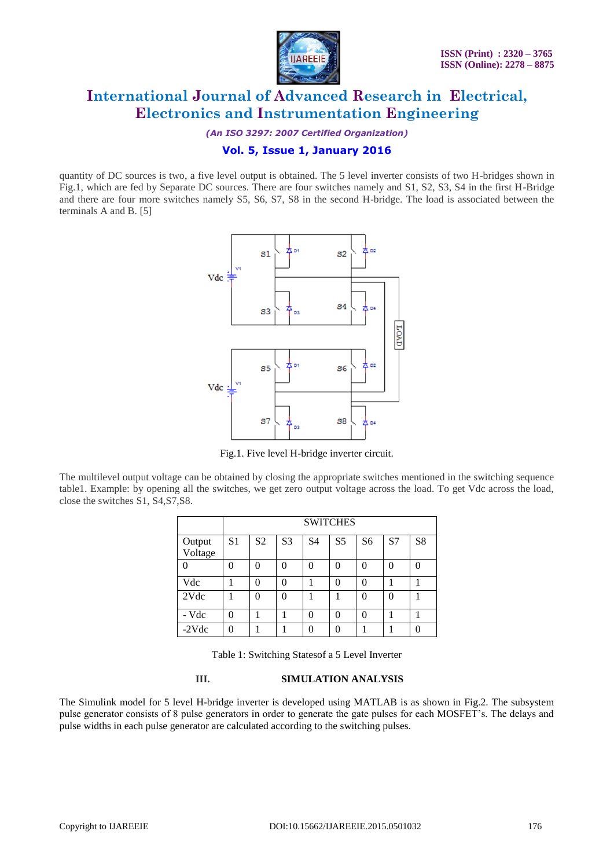

*(An ISO 3297: 2007 Certified Organization)*

### **Vol. 5, Issue 1, January 2016**

quantity of DC sources is two, a five level output is obtained. The 5 level inverter consists of two H-bridges shown in Fig.1, which are fed by Separate DC sources. There are four switches namely and S1, S2, S3, S4 in the first H-Bridge and there are four more switches namely S5, S6, S7, S8 in the second H-bridge. The load is associated between the terminals A and B. [5]



Fig.1. Five level H-bridge inverter circuit.

The multilevel output voltage can be obtained by closing the appropriate switches mentioned in the switching sequence table1. Example: by opening all the switches, we get zero output voltage across the load. To get Vdc across the load, close the switches S1, S4,S7,S8.

|                   | <b>SWITCHES</b> |                |                |                |                |                |    |    |
|-------------------|-----------------|----------------|----------------|----------------|----------------|----------------|----|----|
| Output<br>Voltage | S <sub>1</sub>  | S <sub>2</sub> | S <sub>3</sub> | S <sub>4</sub> | S <sub>5</sub> | S <sub>6</sub> | S7 | S8 |
|                   | ∩               | 0              | 0              | 0              | 0              | 0              |    |    |
| Vdc               |                 | 0              | 0              |                | 0              | 0              |    |    |
| 2Vdc              |                 | 0              | 0              |                |                | 0              | O  |    |
| - Vdc             | 0               |                |                | 0              | 0              | 0              |    |    |
| $-2Vdc$           | O               |                |                | 0              | 0              |                |    |    |

Table 1: Switching Statesof a 5 Level Inverter

#### **III. SIMULATION ANALYSIS**

The Simulink model for 5 level H-bridge inverter is developed using MATLAB is as shown in Fig.2. The subsystem pulse generator consists of 8 pulse generators in order to generate the gate pulses for each MOSFET"s. The delays and pulse widths in each pulse generator are calculated according to the switching pulses.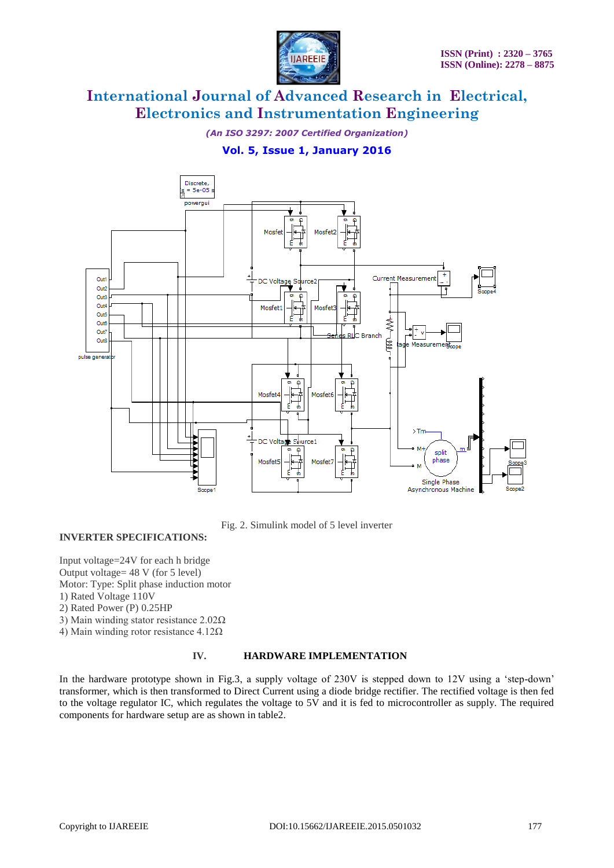

*(An ISO 3297: 2007 Certified Organization)*

### **Vol. 5, Issue 1, January 2016**



Fig. 2. Simulink model of 5 level inverter

#### **INVERTER SPECIFICATIONS:**

Input voltage=24V for each h bridge Output voltage= 48 V (for 5 level) Motor: Type: Split phase induction motor

1) Rated Voltage 110V

2) Rated Power (P) 0.25HP

3) Main winding stator resistance 2.02Ω

4) Main winding rotor resistance 4.12Ω

#### **IV. HARDWARE IMPLEMENTATION**

In the hardware prototype shown in Fig.3, a supply voltage of 230V is stepped down to 12V using a 'step-down' transformer, which is then transformed to Direct Current using a diode bridge rectifier. The rectified voltage is then fed to the voltage regulator IC, which regulates the voltage to 5V and it is fed to microcontroller as supply. The required components for hardware setup are as shown in table2.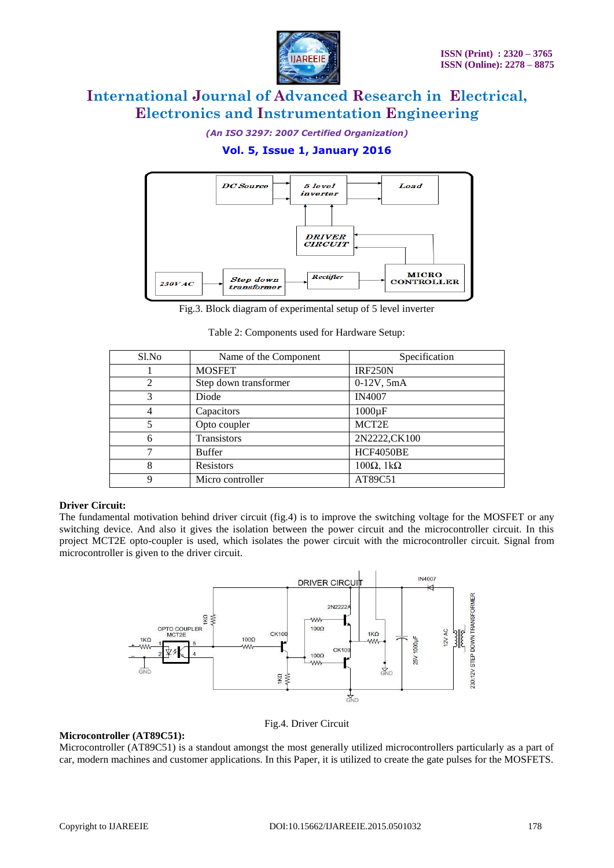

*(An ISO 3297: 2007 Certified Organization)*

### **Vol. 5, Issue 1, January 2016**



Fig.3. Block diagram of experimental setup of 5 level inverter

Table 2: Components used for Hardware Setup:

| S1.No | Name of the Component | Specification            |
|-------|-----------------------|--------------------------|
|       | <b>MOSFET</b>         | <b>IRF250N</b>           |
| 2     | Step down transformer | $0-12V, 5mA$             |
| 3     | Diode                 | <b>IN4007</b>            |
| 4     | Capacitors            | $1000\mu F$              |
| 5     | Opto coupler          | MCT2E                    |
| 6     | <b>Transistors</b>    | 2N2222,CK100             |
|       | <b>Buffer</b>         | HCF4050BE                |
| 8     | <b>Resistors</b>      | $100\Omega$ , $1k\Omega$ |
| 9     | Micro controller      | AT89C51                  |

#### **Driver Circuit:**

The fundamental motivation behind driver circuit (fig.4) is to improve the switching voltage for the MOSFET or any switching device. And also it gives the isolation between the power circuit and the microcontroller circuit. In this project MCT2E opto-coupler is used, which isolates the power circuit with the microcontroller circuit. Signal from microcontroller is given to the driver circuit.



#### Fig.4. Driver Circuit

#### **Microcontroller (AT89C51):**

Microcontroller (AT89C51) is a standout amongst the most generally utilized microcontrollers particularly as a part of car, modern machines and customer applications. In this Paper, it is utilized to create the gate pulses for the MOSFETS.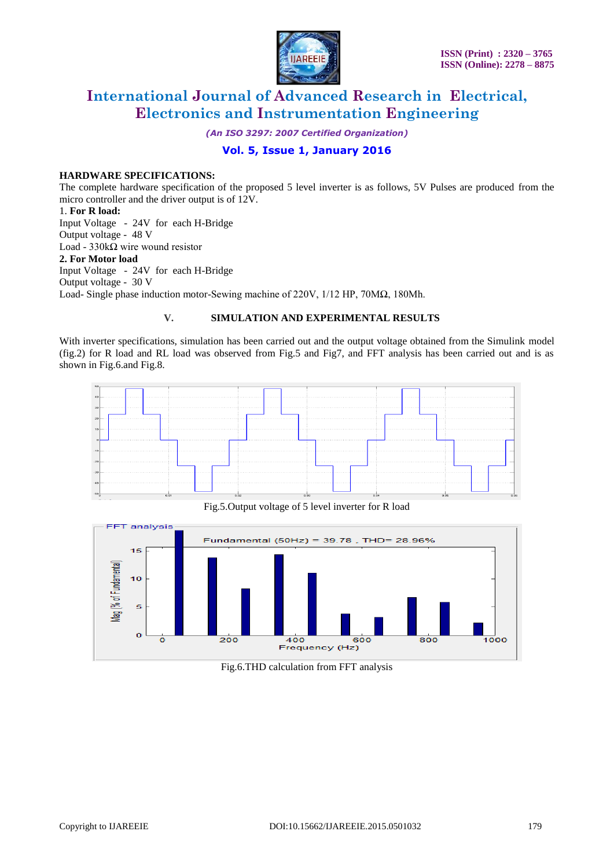

*(An ISO 3297: 2007 Certified Organization)*

### **Vol. 5, Issue 1, January 2016**

#### **HARDWARE SPECIFICATIONS:**

The complete hardware specification of the proposed 5 level inverter is as follows, 5V Pulses are produced from the micro controller and the driver output is of 12V.

#### 1. **For R load:**

Input Voltage - 24V for each H-Bridge Output voltage - 48 V Load - 330kΩ wire wound resistor **2. For Motor load** Input Voltage - 24V for each H-Bridge Output voltage - 30 V Load- Single phase induction motor-Sewing machine of 220V, 1/12 HP, 70MΩ, 180Mh.

#### **V. SIMULATION AND EXPERIMENTAL RESULTS**

With inverter specifications, simulation has been carried out and the output voltage obtained from the Simulink model (fig.2) for R load and RL load was observed from Fig.5 and Fig7, and FFT analysis has been carried out and is as shown in Fig.6.and Fig.8.



Fig.5.Output voltage of 5 level inverter for R load



Fig.6.THD calculation from FFT analysis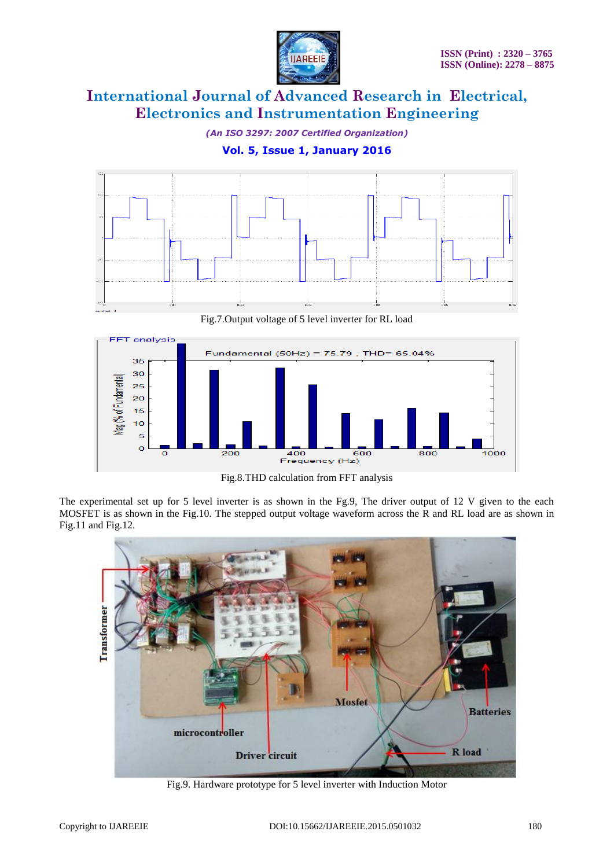

*(An ISO 3297: 2007 Certified Organization)*

**Vol. 5, Issue 1, January 2016**



Fig.7.Output voltage of 5 level inverter for RL load



Fig.8.THD calculation from FFT analysis

The experimental set up for 5 level inverter is as shown in the Fg.9, The driver output of 12 V given to the each MOSFET is as shown in the Fig.10. The stepped output voltage waveform across the R and RL load are as shown in Fig.11 and Fig.12.



Fig.9. Hardware prototype for 5 level inverter with Induction Motor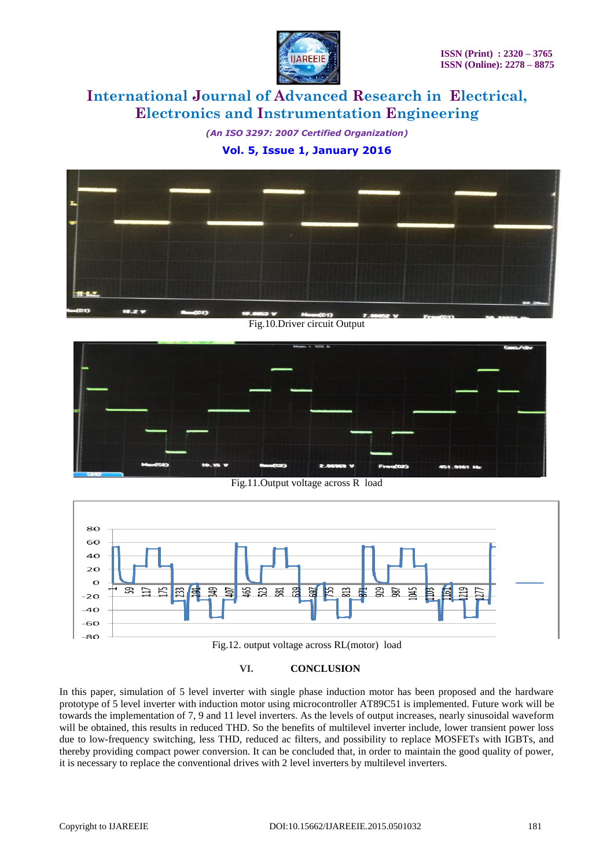

*(An ISO 3297: 2007 Certified Organization)* **Vol. 5, Issue 1, January 2016**



Fig.10.Driver circuit Output



Fig.11.Output voltage across R load



Fig.12. output voltage across RL(motor) load

#### **VI. CONCLUSION**

In this paper, simulation of 5 level inverter with single phase induction motor has been proposed and the hardware prototype of 5 level inverter with induction motor using microcontroller AT89C51 is implemented. Future work will be towards the implementation of 7, 9 and 11 level inverters. As the levels of output increases, nearly sinusoidal waveform will be obtained, this results in reduced THD. So the benefits of multilevel inverter include, lower transient power loss due to low-frequency switching, less THD, reduced ac filters, and possibility to replace MOSFETs with IGBTs, and thereby providing compact power conversion. It can be concluded that, in order to maintain the good quality of power, it is necessary to replace the conventional drives with 2 level inverters by multilevel inverters.